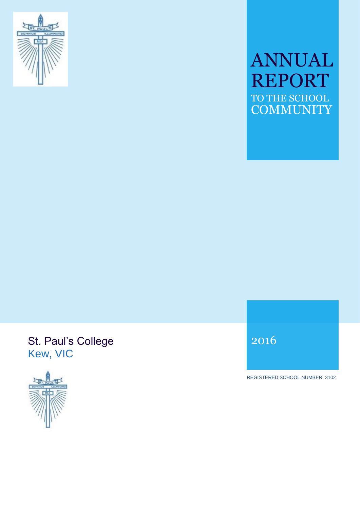

# ANNUAL REPORT TO THE SCHOOL **COMMUNITY**

## St. Paul's College Kew, VIC



2016

REGISTERED SCHOOL NUMBER: 3102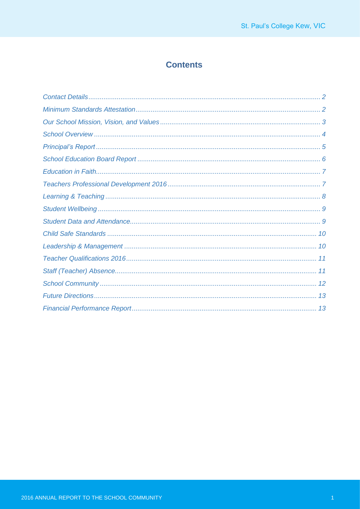## **Contents**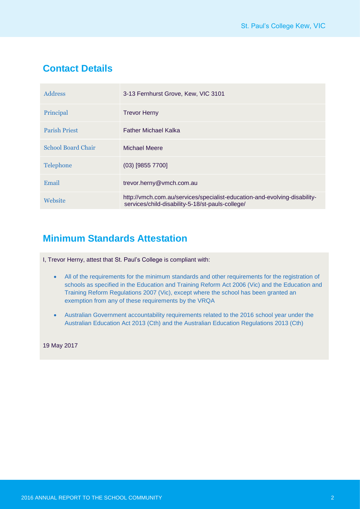## **Contact Details**

| Address                   | 3-13 Fernhurst Grove, Kew, VIC 3101                                                                                           |
|---------------------------|-------------------------------------------------------------------------------------------------------------------------------|
| Principal                 | <b>Trevor Herny</b>                                                                                                           |
| <b>Parish Priest</b>      | <b>Father Michael Kalka</b>                                                                                                   |
| <b>School Board Chair</b> | Michael Meere                                                                                                                 |
| Telephone                 | $(03)$ [9855 7700]                                                                                                            |
| Email                     | trevor.herny@vmch.com.au                                                                                                      |
| Website                   | http://vmch.com.au/services/specialist-education-and-evolving-disability-<br>services/child-disability-5-18/st-pauls-college/ |

## **Minimum Standards Attestation**

I, Trevor Herny, attest that St. Paul's College is compliant with:

- All of the requirements for the minimum standards and other requirements for the registration of schools as specified in the Education and Training Reform Act 2006 (Vic) and the Education and Training Reform Regulations 2007 (Vic), except where the school has been granted an exemption from any of these requirements by the VRQA
- Australian Government accountability requirements related to the 2016 school year under the Australian Education Act 2013 (Cth) and the Australian Education Regulations 2013 (Cth)

19 May 2017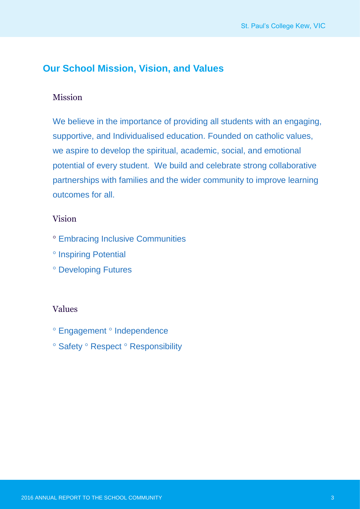## **Our School Mission, Vision, and Values**

### Mission

We believe in the importance of providing all students with an engaging, supportive, and Individualised education. Founded on catholic values, we aspire to develop the spiritual, academic, social, and emotional potential of every student. We build and celebrate strong collaborative partnerships with families and the wider community to improve learning outcomes for all.

### Vision

- Embracing Inclusive Communities
- <sup>o</sup> Inspiring Potential
- Developing Futures

#### Values

- <sup>o</sup> Engagement <sup>o</sup> Independence
- <sup>o</sup> Safety <sup>o</sup> Respect <sup>o</sup> Responsibility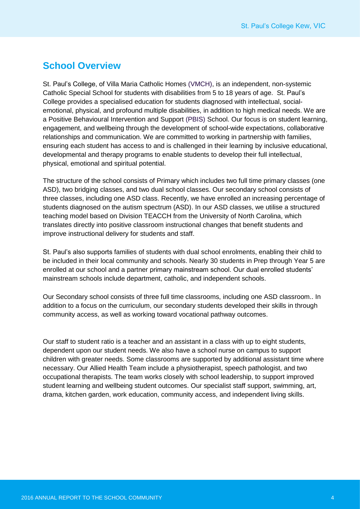### **School Overview**

St. Paul's College, of Villa Maria Catholic Homes (VMCH), is an independent, non-systemic Catholic Special School for students with disabilities from 5 to 18 years of age. St. Paul's College provides a specialised education for students diagnosed with intellectual, socialemotional, physical, and profound multiple disabilities, in addition to high medical needs. We are a Positive Behavioural Intervention and Support (PBIS) School. Our focus is on student learning, engagement, and wellbeing through the development of school-wide expectations, collaborative relationships and communication. We are committed to working in partnership with families, ensuring each student has access to and is challenged in their learning by inclusive educational, developmental and therapy programs to enable students to develop their full intellectual, physical, emotional and spiritual potential.

The structure of the school consists of Primary which includes two full time primary classes (one ASD), two bridging classes, and two dual school classes. Our secondary school consists of three classes, including one ASD class. Recently, we have enrolled an increasing percentage of students diagnosed on the autism spectrum (ASD). In our ASD classes, we utilise a structured teaching model based on Division TEACCH from the University of North Carolina, which translates directly into positive classroom instructional changes that benefit students and improve instructional delivery for students and staff.

St. Paul's also supports families of students with dual school enrolments, enabling their child to be included in their local community and schools. Nearly 30 students in Prep through Year 5 are enrolled at our school and a partner primary mainstream school. Our dual enrolled students' mainstream schools include department, catholic, and independent schools.

Our Secondary school consists of three full time classrooms, including one ASD classroom.. In addition to a focus on the curriculum, our secondary students developed their skills in through community access, as well as working toward vocational pathway outcomes.

Our staff to student ratio is a teacher and an assistant in a class with up to eight students, dependent upon our student needs. We also have a school nurse on campus to support children with greater needs. Some classrooms are supported by additional assistant time where necessary. Our Allied Health Team include a physiotherapist, speech pathologist, and two occupational therapists. The team works closely with school leadership, to support improved student learning and wellbeing student outcomes. Our specialist staff support, swimming, art, drama, kitchen garden, work education, community access, and independent living skills.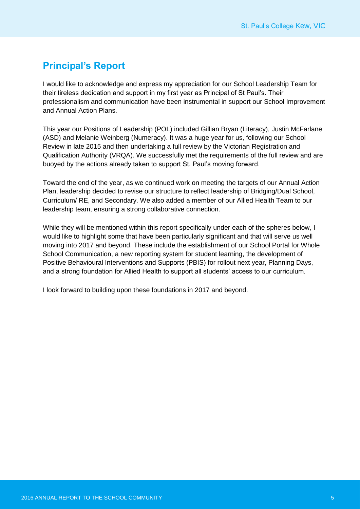## **Principal's Report**

I would like to acknowledge and express my appreciation for our School Leadership Team for their tireless dedication and support in my first year as Principal of St Paul's. Their professionalism and communication have been instrumental in support our School Improvement and Annual Action Plans.

This year our Positions of Leadership (POL) included Gillian Bryan (Literacy), Justin McFarlane (ASD) and Melanie Weinberg (Numeracy). It was a huge year for us, following our School Review in late 2015 and then undertaking a full review by the Victorian Registration and Qualification Authority (VRQA). We successfully met the requirements of the full review and are buoyed by the actions already taken to support St. Paul's moving forward.

Toward the end of the year, as we continued work on meeting the targets of our Annual Action Plan, leadership decided to revise our structure to reflect leadership of Bridging/Dual School, Curriculum/ RE, and Secondary. We also added a member of our Allied Health Team to our leadership team, ensuring a strong collaborative connection.

While they will be mentioned within this report specifically under each of the spheres below, I would like to highlight some that have been particularly significant and that will serve us well moving into 2017 and beyond. These include the establishment of our School Portal for Whole School Communication, a new reporting system for student learning, the development of Positive Behavioural Interventions and Supports (PBIS) for rollout next year, Planning Days, and a strong foundation for Allied Health to support all students' access to our curriculum.

I look forward to building upon these foundations in 2017 and beyond.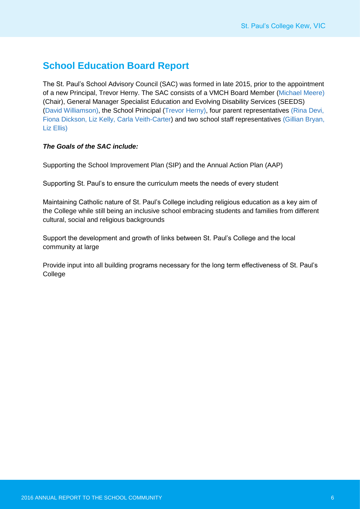## **School Education Board Report**

The St. Paul's School Advisory Council (SAC) was formed in late 2015, prior to the appointment of a new Principal, Trevor Herny. The SAC consists of a VMCH Board Member (Michael Meere) (Chair), General Manager Specialist Education and Evolving Disability Services (SEEDS) (David Williamson), the School Principal (Trevor Herny), four parent representatives (Rina Devi, Fiona Dickson, Liz Kelly, Carla Veith-Carter) and two school staff representatives (Gillian Bryan, Liz Ellis)

#### *The Goals of the SAC include:*

Supporting the School Improvement Plan (SIP) and the Annual Action Plan (AAP)

Supporting St. Paul's to ensure the curriculum meets the needs of every student

Maintaining Catholic nature of St. Paul's College including religious education as a key aim of the College while still being an inclusive school embracing students and families from different cultural, social and religious backgrounds

Support the development and growth of links between St. Paul's College and the local community at large

Provide input into all building programs necessary for the long term effectiveness of St. Paul's College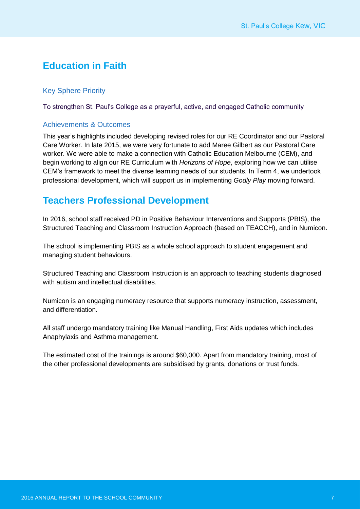## **Education in Faith**

#### Key Sphere Priority

To strengthen St. Paul's College as a prayerful, active, and engaged Catholic community

#### Achievements & Outcomes

This year's highlights included developing revised roles for our RE Coordinator and our Pastoral Care Worker. In late 2015, we were very fortunate to add Maree Gilbert as our Pastoral Care worker. We were able to make a connection with Catholic Education Melbourne (CEM), and begin working to align our RE Curriculum with *Horizons of Hope*, exploring how we can utilise CEM's framework to meet the diverse learning needs of our students. In Term 4, we undertook professional development, which will support us in implementing *Godly Play* moving forward.

### **Teachers Professional Development**

In 2016, school staff received PD in Positive Behaviour Interventions and Supports (PBIS), the Structured Teaching and Classroom Instruction Approach (based on TEACCH), and in Numicon.

The school is implementing PBIS as a whole school approach to student engagement and managing student behaviours.

Structured Teaching and Classroom Instruction is an approach to teaching students diagnosed with autism and intellectual disabilities.

Numicon is an engaging numeracy resource that supports numeracy instruction, assessment, and differentiation.

All staff undergo mandatory training like Manual Handling, First Aids updates which includes Anaphylaxis and Asthma management.

The estimated cost of the trainings is around \$60,000. Apart from mandatory training, most of the other professional developments are subsidised by grants, donations or trust funds.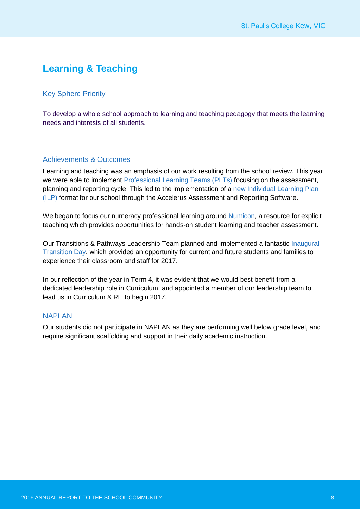## **Learning & Teaching**

#### Key Sphere Priority

To develop a whole school approach to learning and teaching pedagogy that meets the learning needs and interests of all students.

#### Achievements & Outcomes

Learning and teaching was an emphasis of our work resulting from the school review. This year we were able to implement Professional Learning Teams (PLTs) focusing on the assessment, planning and reporting cycle. This led to the implementation of a new Individual Learning Plan (ILP) format for our school through the Accelerus Assessment and Reporting Software.

We began to focus our numeracy professional learning around Numicon, a resource for explicit teaching which provides opportunities for hands-on student learning and teacher assessment.

Our Transitions & Pathways Leadership Team planned and implemented a fantastic Inaugural Transition Day, which provided an opportunity for current and future students and families to experience their classroom and staff for 2017.

In our reflection of the year in Term 4, it was evident that we would best benefit from a dedicated leadership role in Curriculum, and appointed a member of our leadership team to lead us in Curriculum & RE to begin 2017.

#### **NAPI AN**

Our students did not participate in NAPLAN as they are performing well below grade level, and require significant scaffolding and support in their daily academic instruction.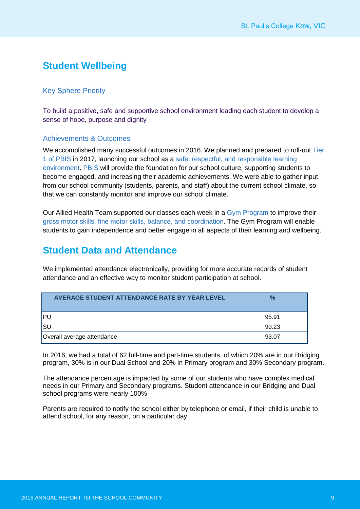## **Student Wellbeing**

#### Key Sphere Priority

To build a positive, safe and supportive school environment leading each student to develop a sense of hope, purpose and dignity

#### Achievements & Outcomes

We accomplished many successful outcomes in 2016. We planned and prepared to roll-out Tier 1 of PBIS in 2017, launching our school as a safe, respectful, and responsible learning environment. PBIS will provide the foundation for our school culture, supporting students to become engaged, and increasing their academic achievements. We were able to gather input from our school community (students, parents, and staff) about the current school climate, so that we can constantly monitor and improve our school climate.

Our Allied Health Team supported our classes each week in a Gym Program to improve their gross motor skills, fine motor skills, balance, and coordination. The Gym Program will enable students to gain independence and better engage in all aspects of their learning and wellbeing.

## **Student Data and Attendance**

We implemented attendance electronically, providing for more accurate records of student attendance and an effective way to monitor student participation at school.

| AVERAGE STUDENT ATTENDANCE RATE BY YEAR LEVEL | $\frac{1}{2}$ |
|-----------------------------------------------|---------------|
| IPU                                           | 95.91         |
| lsu                                           | 90.23         |
| Overall average attendance                    | 93.07         |

In 2016, we had a total of 62 full-time and part-time students, of which 20% are in our Bridging program, 30% is in our Dual School and 20% in Primary program and 30% Secondary program.

The attendance percentage is impacted by some of our students who have complex medical needs in our Primary and Secondary programs. Student attendance in our Bridging and Dual school programs were nearly 100%

Parents are required to notify the school either by telephone or email, if their child is unable to attend school, for any reason, on a particular day.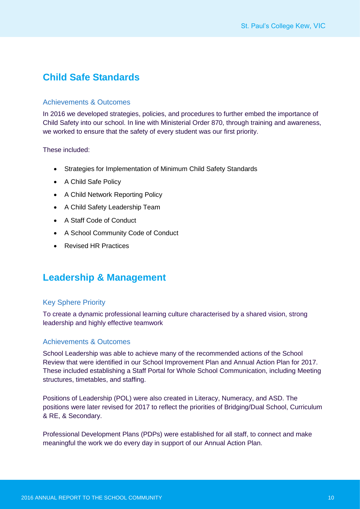## **Child Safe Standards**

#### Achievements & Outcomes

In 2016 we developed strategies, policies, and procedures to further embed the importance of Child Safety into our school. In line with Ministerial Order 870, through training and awareness, we worked to ensure that the safety of every student was our first priority.

These included:

- Strategies for Implementation of Minimum Child Safety Standards
- A Child Safe Policy
- A Child Network Reporting Policy
- A Child Safety Leadership Team
- A Staff Code of Conduct
- A School Community Code of Conduct
- Revised HR Practices

### **Leadership & Management**

#### Key Sphere Priority

To create a dynamic professional learning culture characterised by a shared vision, strong leadership and highly effective teamwork

#### Achievements & Outcomes

School Leadership was able to achieve many of the recommended actions of the School Review that were identified in our School Improvement Plan and Annual Action Plan for 2017. These included establishing a Staff Portal for Whole School Communication, including Meeting structures, timetables, and staffing.

Positions of Leadership (POL) were also created in Literacy, Numeracy, and ASD. The positions were later revised for 2017 to reflect the priorities of Bridging/Dual School, Curriculum & RE, & Secondary.

Professional Development Plans (PDPs) were established for all staff, to connect and make meaningful the work we do every day in support of our Annual Action Plan.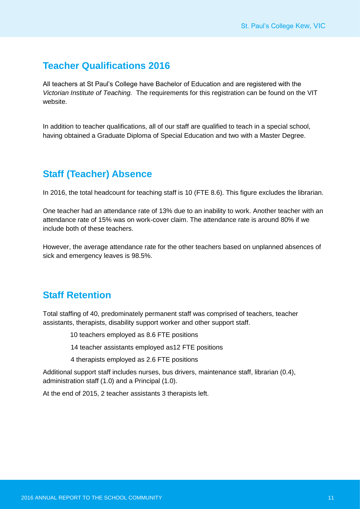## **Teacher Qualifications 2016**

All teachers at St Paul's College have Bachelor of Education and are registered with the *Victorian Institute of Teaching.* The requirements for this registration can be found on the VIT website.

In addition to teacher qualifications, all of our staff are qualified to teach in a special school, having obtained a Graduate Diploma of Special Education and two with a Master Degree.

## **Staff (Teacher) Absence**

In 2016, the total headcount for teaching staff is 10 (FTE 8.6). This figure excludes the librarian.

One teacher had an attendance rate of 13% due to an inability to work. Another teacher with an attendance rate of 15% was on work-cover claim. The attendance rate is around 80% if we include both of these teachers.

However, the average attendance rate for the other teachers based on unplanned absences of sick and emergency leaves is 98.5%.

## **Staff Retention**

Total staffing of 40, predominately permanent staff was comprised of teachers, teacher assistants, therapists, disability support worker and other support staff.

- 10 teachers employed as 8.6 FTE positions
- 14 teacher assistants employed as12 FTE positions
- 4 therapists employed as 2.6 FTE positions

Additional support staff includes nurses, bus drivers, maintenance staff, librarian (0.4), administration staff (1.0) and a Principal (1.0).

At the end of 2015, 2 teacher assistants 3 therapists left.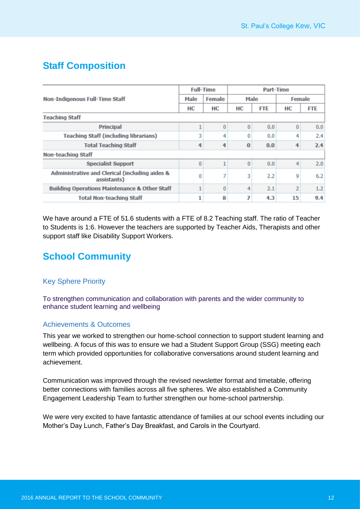## **Staff Composition**

|                                                               | <b>Full-Time</b> |        | Part-Time |            |                |            |  |
|---------------------------------------------------------------|------------------|--------|-----------|------------|----------------|------------|--|
| Non-Indigenous Full-Time Staff                                | Male             | Female | Male      |            | Female         |            |  |
|                                                               |                  | HС     | HC        | <b>FTE</b> | HС             | <b>FTE</b> |  |
| <b>Teaching Staff</b>                                         |                  |        |           |            |                |            |  |
| Principal                                                     |                  | 0      | $\Omega$  | 0.0        | $\overline{0}$ | 0.0        |  |
| Teaching Staff (including librarians)                         | 3                | 4      | 0         | 0.0        | 4              | 2.4        |  |
| <b>Total Teaching Staff</b>                                   | 4                |        | $\bf{0}$  | 0.0        | 4              | 2.4        |  |
| Non-teaching Staff                                            |                  |        |           |            |                |            |  |
| <b>Specialist Support</b>                                     | 0                |        | 0         | 0.0        | 4              | 2.0        |  |
| Administrative and Clerical (including aides &<br>assistants) | 0                | 7      | 3         | 2.2        | $\overline{9}$ | 6.2        |  |
| Building Operations Maintenance & Other Staff                 |                  | 0      | 4         | 2.1        | 2              | 1.2        |  |
| <b>Total Non-teaching Staff</b>                               | 1                | 8      | 7         | 4.3        | 15             | 9.4        |  |

We have around a FTE of 51.6 students with a FTE of 8.2 Teaching staff. The ratio of Teacher to Students is 1:6. However the teachers are supported by Teacher Aids, Therapists and other support staff like Disability Support Workers.

## **School Community**

#### Key Sphere Priority

To strengthen communication and collaboration with parents and the wider community to enhance student learning and wellbeing

#### Achievements & Outcomes

This year we worked to strengthen our home-school connection to support student learning and wellbeing. A focus of this was to ensure we had a Student Support Group (SSG) meeting each term which provided opportunities for collaborative conversations around student learning and achievement.

Communication was improved through the revised newsletter format and timetable, offering better connections with families across all five spheres. We also established a Community Engagement Leadership Team to further strengthen our home-school partnership.

We were very excited to have fantastic attendance of families at our school events including our Mother's Day Lunch, Father's Day Breakfast, and Carols in the Courtyard.